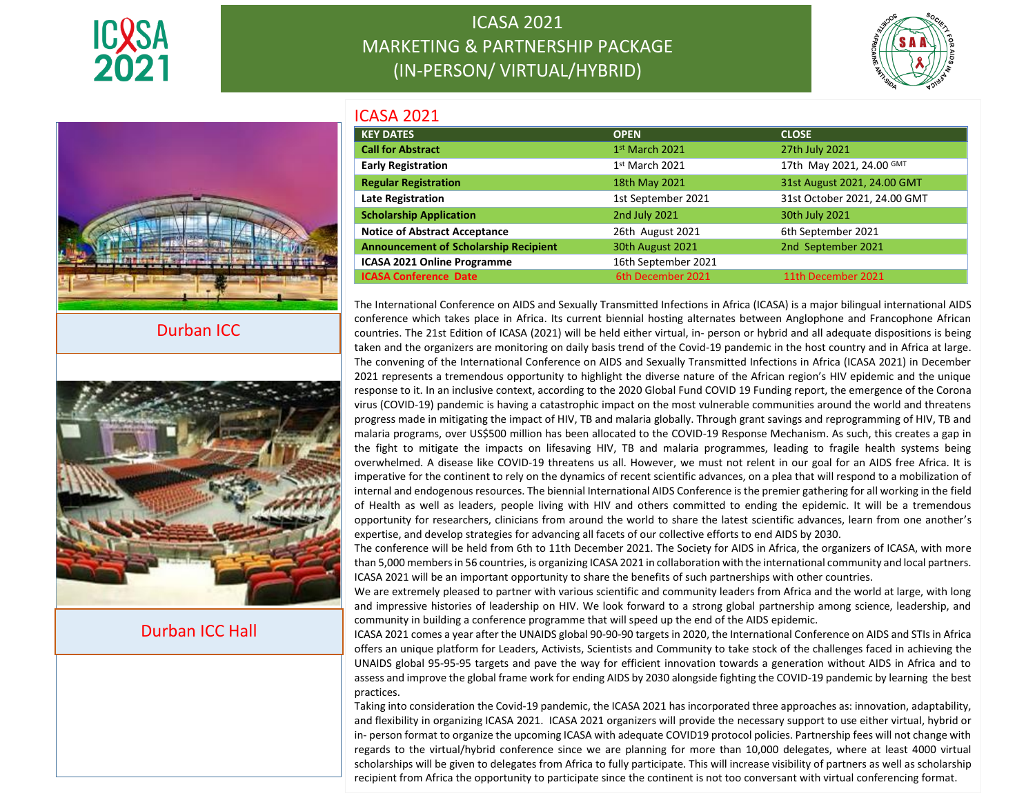





Durban ICC



Durban ICC Hall

| <b>ICASA 2021</b>                            |                     |                              |
|----------------------------------------------|---------------------|------------------------------|
| <b>KEY DATES</b>                             | <b>OPEN</b>         | <b>CLOSE</b>                 |
| <b>Call for Abstract</b>                     | $1st$ March 2021    | 27th July 2021               |
| <b>Early Registration</b>                    | $1st$ March 2021    | 17th May 2021, 24.00 GMT     |
| <b>Regular Registration</b>                  | 18th May 2021       | 31st August 2021, 24.00 GMT  |
| <b>Late Registration</b>                     | 1st September 2021  | 31st October 2021, 24.00 GMT |
| <b>Scholarship Application</b>               | 2nd July 2021       | 30th July 2021               |
| <b>Notice of Abstract Acceptance</b>         | 26th August 2021    | 6th September 2021           |
| <b>Announcement of Scholarship Recipient</b> | 30th August 2021    | 2nd September 2021           |
| <b>ICASA 2021 Online Programme</b>           | 16th September 2021 |                              |
| <b>ICASA Conference Date</b>                 | 6th December 2021   | 11th December 2021           |

The International Conference on AIDS and Sexually Transmitted Infections in Africa (ICASA) is a major bilingual international AIDS conference which takes place in Africa. Its current biennial hosting alternates between Anglophone and Francophone African countries. The 21st Edition of ICASA (2021) will be held either virtual, in- person or hybrid and all adequate dispositions is being taken and the organizers are monitoring on daily basis trend of the Covid-19 pandemic in the host country and in Africa at large. The convening of the International Conference on AIDS and Sexually Transmitted Infections in Africa (ICASA 2021) in December 2021 represents a tremendous opportunity to highlight the diverse nature of the African region's HIV epidemic and the unique response to it. In an inclusive context, according to the 2020 Global Fund COVID 19 Funding report, the emergence of the Corona virus (COVID-19) pandemic is having a catastrophic impact on the most vulnerable communities around the world and threatens progress made in mitigating the impact of HIV, TB and malaria globally. Through grant savings and reprogramming of HIV, TB and malaria programs, over US\$500 million has been allocated to the COVID-19 Response Mechanism. As such, this creates a gap in the fight to mitigate the impacts on lifesaving HIV, TB and malaria programmes, leading to fragile health systems being overwhelmed. A disease like COVID-19 threatens us all. However, we must not relent in our goal for an AIDS free Africa. It is imperative for the continent to rely on the dynamics of recent scientific advances, on a plea that will respond to a mobilization of internal and endogenous resources. The biennial International AIDS Conference is the premier gathering for all working in the field of Health as well as leaders, people living with HIV and others committed to ending the epidemic. It will be a tremendous opportunity for researchers, clinicians from around the world to share the latest scientific advances, learn from one another's expertise, and develop strategies for advancing all facets of our collective efforts to end AIDS by 2030.

The conference will be held from 6th to 11th December 2021. The Society for AIDS in Africa, the organizers of ICASA, with more than 5,000 members in 56 countries, is organizing ICASA 2021 in collaboration with the international community and local partners. ICASA 2021 will be an important opportunity to share the benefits of such partnerships with other countries.

We are extremely pleased to partner with various scientific and community leaders from Africa and the world at large, with long and impressive histories of leadership on HIV. We look forward to a strong global partnership among science, leadership, and community in building a conference programme that will speed up the end of the AIDS epidemic.

ICASA 2021 comes a year after the UNAIDS global 90-90-90 targets in 2020, the International Conference on AIDS and STIs in Africa offers an unique platform for Leaders, Activists, Scientists and Community to take stock of the challenges faced in achieving the UNAIDS global 95-95-95 targets and pave the way for efficient innovation towards a generation without AIDS in Africa and to assess and improve the global frame work for ending AIDS by 2030 alongside fighting the COVID-19 pandemic by learning the best practices.

1 recipient from Africa the opportunity to participate since the continent is not too conversant with virtual conferencing format. Taking into consideration the Covid-19 pandemic, the ICASA 2021 has incorporated three approaches as: innovation, adaptability, and flexibility in organizing ICASA 2021. ICASA 2021 organizers will provide the necessary support to use either virtual, hybrid or in- person format to organize the upcoming ICASA with adequate COVID19 protocol policies. Partnership fees will not change with regards to the virtual/hybrid conference since we are planning for more than 10,000 delegates, where at least 4000 virtual scholarships will be given to delegates from Africa to fully participate. This will increase visibility of partners as well as scholarship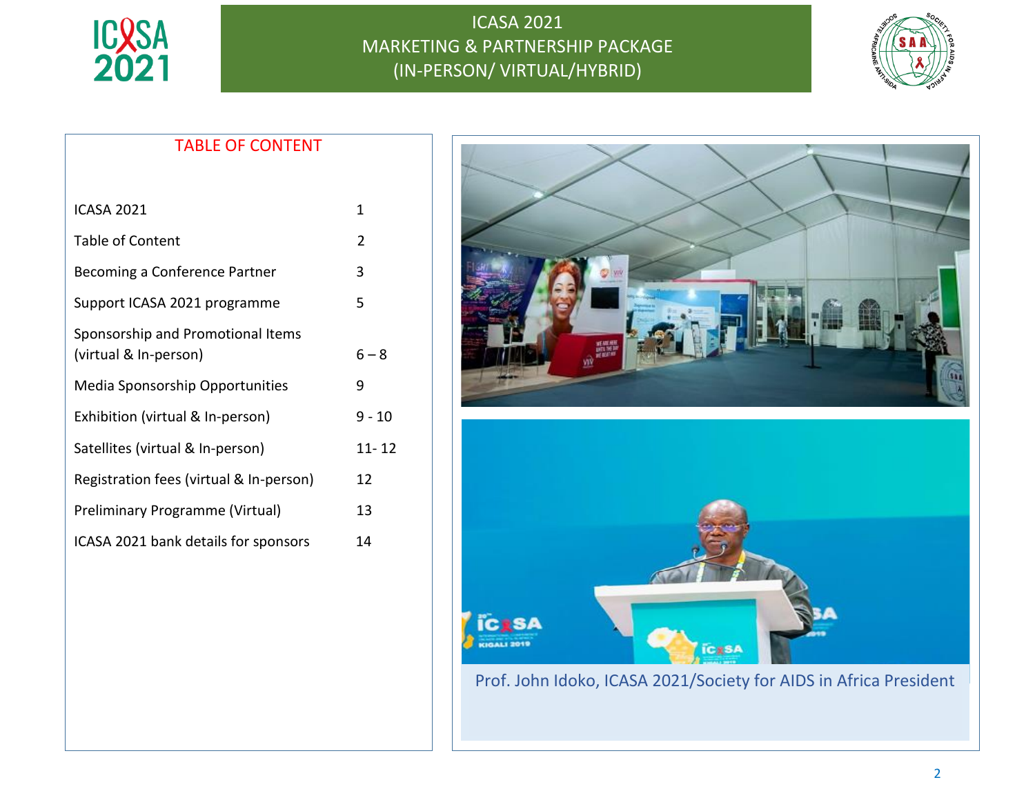



## TABLE OF CONTENT

| <b>ICASA 2021</b>                                          | 1              |
|------------------------------------------------------------|----------------|
| Table of Content                                           | $\overline{2}$ |
| Becoming a Conference Partner                              | 3              |
| Support ICASA 2021 programme                               | 5              |
| Sponsorship and Promotional Items<br>(virtual & In-person) | $6 - 8$        |
| <b>Media Sponsorship Opportunities</b>                     | 9              |
| Exhibition (virtual & In-person)                           | $9 - 10$       |
| Satellites (virtual & In-person)                           | 11- 12         |
| Registration fees (virtual & In-person)                    | 12             |
| Preliminary Programme (Virtual)                            | 13             |
| ICASA 2021 bank details for sponsors                       | 14             |

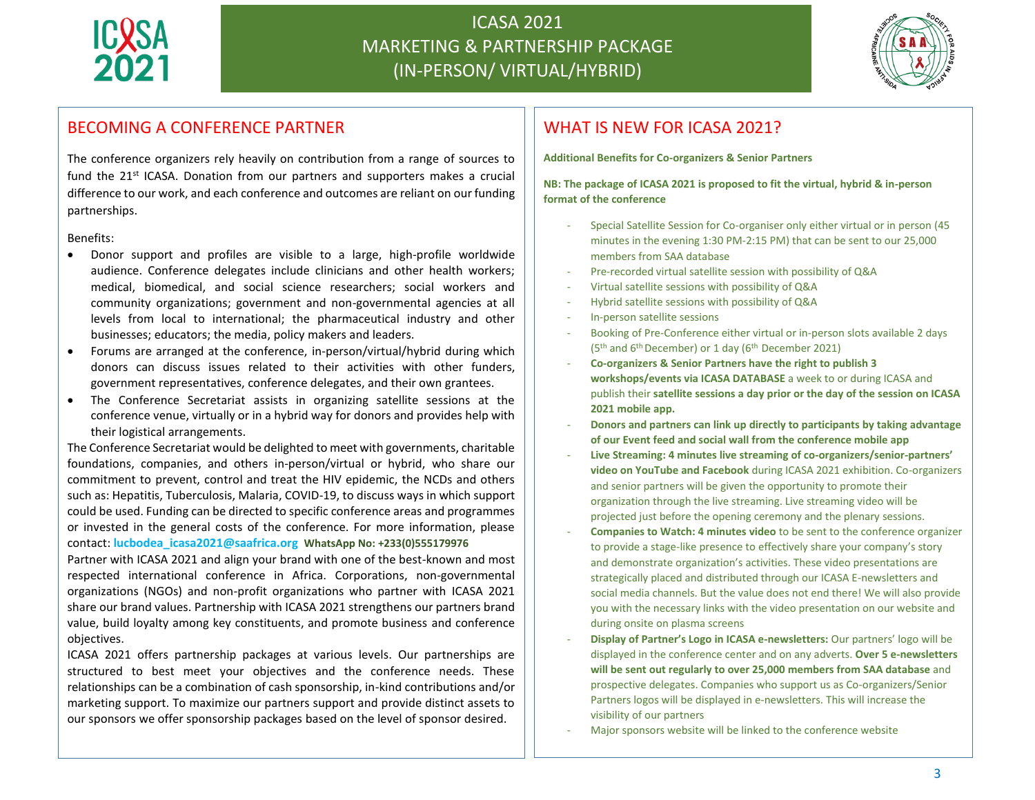



### BECOMING A CONFERENCE PARTNER

The conference organizers rely heavily on contribution from a range of sources to fund the  $21^{st}$  ICASA. Donation from our partners and supporters makes a crucial difference to our work, and each conference and outcomes are reliant on our funding partnerships.

Benefits:

- Donor support and profiles are visible to a large, high-profile worldwide audience. Conference delegates include clinicians and other health workers; medical, biomedical, and social science researchers; social workers and community organizations; government and non-governmental agencies at all levels from local to international; the pharmaceutical industry and other businesses; educators; the media, policy makers and leaders.
- Forums are arranged at the conference, in-person/virtual/hybrid during which donors can discuss issues related to their activities with other funders, government representatives, conference delegates, and their own grantees.
- The Conference Secretariat assists in organizing satellite sessions at the conference venue, virtually or in a hybrid way for donors and provides help with their logistical arrangements.

The Conference Secretariat would be delighted to meet with governments, charitable foundations, companies, and others in-person/virtual or hybrid, who share our commitment to prevent, control and treat the HIV epidemic, the NCDs and others such as: Hepatitis, Tuberculosis, Malaria, COVID-19, to discuss ways in which support could be used. Funding can be directed to specific conference areas and programmes or invested in the general costs of the conference. For more information, please contact: **lucbodea\_icasa2021@saafrica.org WhatsApp No: +233(0)555179976**

Partner with ICASA 2021 and align your brand with one of the best-known and most respected international conference in Africa. Corporations, non-governmental organizations (NGOs) and non-profit organizations who partner with ICASA 2021 share our brand values. Partnership with ICASA 2021 strengthens our partners brand value, build loyalty among key constituents, and promote business and conference objectives.

ICASA 2021 offers partnership packages at various levels. Our partnerships are structured to best meet your objectives and the conference needs. These relationships can be a combination of cash sponsorship, in-kind contributions and/or marketing support. To maximize our partners support and provide distinct assets to our sponsors we offer sponsorship packages based on the level of sponsor desired.

## WHAT IS NEW FOR ICASA 2021?

**Additional Benefits for Co-organizers & Senior Partners**

**NB: The package of ICASA 2021 is proposed to fit the virtual, hybrid & in-person format of the conference**

- Special Satellite Session for Co-organiser only either virtual or in person (45 minutes in the evening 1:30 PM-2:15 PM) that can be sent to our 25,000 members from SAA database
- Pre-recorded virtual satellite session with possibility of Q&A
- Virtual satellite sessions with possibility of Q&A
- Hybrid satellite sessions with possibility of Q&A
- In-person satellite sessions
- Booking of Pre-Conference either virtual or in-person slots available 2 days ( $5<sup>th</sup>$  and  $6<sup>th</sup>$  December) or 1 day ( $6<sup>th</sup>$  December 2021)
- **Co-organizers & Senior Partners have the right to publish 3 workshops/events via ICASA DATABASE** a week to or during ICASA and publish their **satellite sessions a day prior or the day of the session on ICASA 2021 mobile app.**
- **Donors and partners can link up directly to participants by taking advantage of our Event feed and social wall from the conference mobile app**
- **Live Streaming: 4 minutes live streaming of co-organizers/senior-partners' video on YouTube and Facebook** during ICASA 2021 exhibition. Co-organizers and senior partners will be given the opportunity to promote their organization through the live streaming. Live streaming video will be projected just before the opening ceremony and the plenary sessions.
- **Companies to Watch: 4 minutes video** to be sent to the conference organizer to provide a stage-like presence to effectively share your company's story and demonstrate organization's activities. These video presentations are strategically placed and distributed through our ICASA E-newsletters and social media channels. But the value does not end there! We will also provide you with the necessary links with the video presentation on our website and during onsite on plasma screens
- **Display of Partner's Logo in ICASA e-newsletters:** Our partners' logo will be displayed in the conference center and on any adverts. **Over 5 e-newsletters will be sent out regularly to over 25,000 members from SAA database** and prospective delegates. Companies who support us as Co-organizers/Senior Partners logos will be displayed in e-newsletters. This will increase the visibility of our partners
- Major sponsors website will be linked to the conference website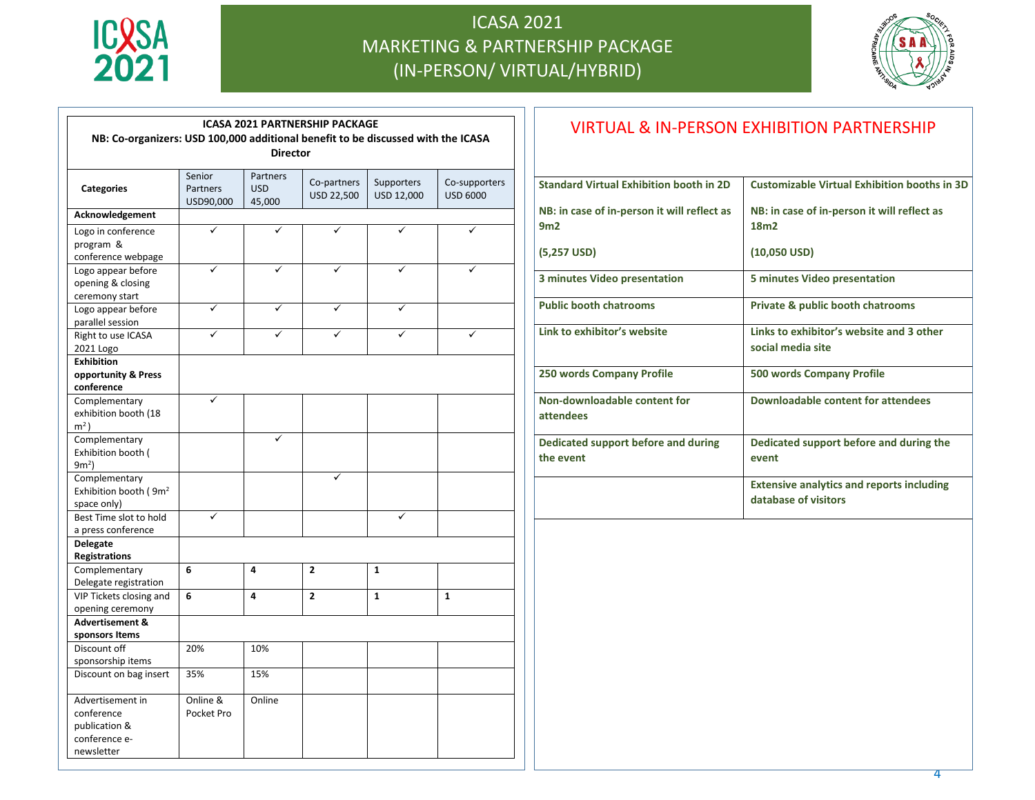



| <b>ICASA 2021 PARTNERSHIP PACKAGE</b>                                                               |            |            |                |              |                 |
|-----------------------------------------------------------------------------------------------------|------------|------------|----------------|--------------|-----------------|
| NB: Co-organizers: USD 100,000 additional benefit to be discussed with the ICASA<br><b>Director</b> |            |            |                |              |                 |
|                                                                                                     |            |            |                |              | Senior          |
| <b>Categories</b>                                                                                   | Partners   | <b>USD</b> | USD 22,500     | USD 12,000   | <b>USD 6000</b> |
|                                                                                                     | USD90,000  | 45,000     |                |              |                 |
| Acknowledgement                                                                                     |            |            |                |              |                 |
| Logo in conference                                                                                  | ✓          | ✓          | ✓              | ✓            |                 |
| program &                                                                                           |            |            |                |              |                 |
| conference webpage<br>Logo appear before                                                            |            |            |                |              |                 |
| opening & closing                                                                                   |            |            |                |              |                 |
| ceremony start                                                                                      |            |            |                |              |                 |
| Logo appear before                                                                                  | ✓          | ✓          | ✓              |              |                 |
| parallel session                                                                                    |            |            |                |              |                 |
| Right to use ICASA                                                                                  |            |            |                |              |                 |
| 2021 Logo                                                                                           |            |            |                |              |                 |
| <b>Exhibition</b>                                                                                   |            |            |                |              |                 |
| opportunity & Press                                                                                 |            |            |                |              |                 |
| conference                                                                                          |            |            |                |              |                 |
| Complementary                                                                                       | ✓          |            |                |              |                 |
| exhibition booth (18                                                                                |            |            |                |              |                 |
| $m2$ )                                                                                              |            |            |                |              |                 |
| Complementary                                                                                       |            |            |                |              |                 |
| Exhibition booth (                                                                                  |            |            |                |              |                 |
| 9m <sup>2</sup>                                                                                     |            |            | ✓              |              |                 |
| Complementary<br>Exhibition booth (9m <sup>2</sup>                                                  |            |            |                |              |                 |
| space only)                                                                                         |            |            |                |              |                 |
| Best Time slot to hold                                                                              | ✓          |            |                | ✓            |                 |
| a press conference                                                                                  |            |            |                |              |                 |
| <b>Delegate</b>                                                                                     |            |            |                |              |                 |
| <b>Registrations</b>                                                                                |            |            |                |              |                 |
| Complementary                                                                                       | 6          | 4          | $\overline{2}$ | 1            |                 |
| Delegate registration                                                                               |            |            |                |              |                 |
| VIP Tickets closing and                                                                             | 6          | 4          | $\overline{2}$ | $\mathbf{1}$ | $\mathbf{1}$    |
| opening ceremony                                                                                    |            |            |                |              |                 |
| <b>Advertisement &amp;</b>                                                                          |            |            |                |              |                 |
| sponsors Items                                                                                      |            |            |                |              |                 |
| Discount off                                                                                        | 20%        | 10%        |                |              |                 |
| sponsorship items                                                                                   |            |            |                |              |                 |
| Discount on bag insert                                                                              | 35%        | 15%        |                |              |                 |
| Advertisement in                                                                                    | Online &   | Online     |                |              |                 |
| conference                                                                                          | Pocket Pro |            |                |              |                 |
| publication &                                                                                       |            |            |                |              |                 |
| conference e-                                                                                       |            |            |                |              |                 |
| newsletter                                                                                          |            |            |                |              |                 |

| <b>VIRTUAL &amp; IN-PERSON EXHIBITION PARTNERSHIP</b> |                                                                          |  |  |
|-------------------------------------------------------|--------------------------------------------------------------------------|--|--|
| <b>Standard Virtual Exhibition booth in 2D</b>        | Customizable Virtual Exhibition booths in 3D                             |  |  |
| NB: in case of in-person it will reflect as<br>9m2    | NB: in case of in-person it will reflect as<br>18m <sub>2</sub>          |  |  |
| $(5,257$ USD)                                         | $(10,050$ USD)                                                           |  |  |
| 3 minutes Video presentation                          | 5 minutes Video presentation                                             |  |  |
| <b>Public booth chatrooms</b>                         | <b>Private &amp; public booth chatrooms</b>                              |  |  |
| Link to exhibitor's website                           | Links to exhibitor's website and 3 other<br>social media site            |  |  |
| 250 words Company Profile                             | <b>500 words Company Profile</b>                                         |  |  |
| Non-downloadable content for<br>attendees             | Downloadable content for attendees                                       |  |  |
| Dedicated support before and during<br>the event      | Dedicated support before and during the<br>event                         |  |  |
|                                                       | <b>Extensive analytics and reports including</b><br>database of visitors |  |  |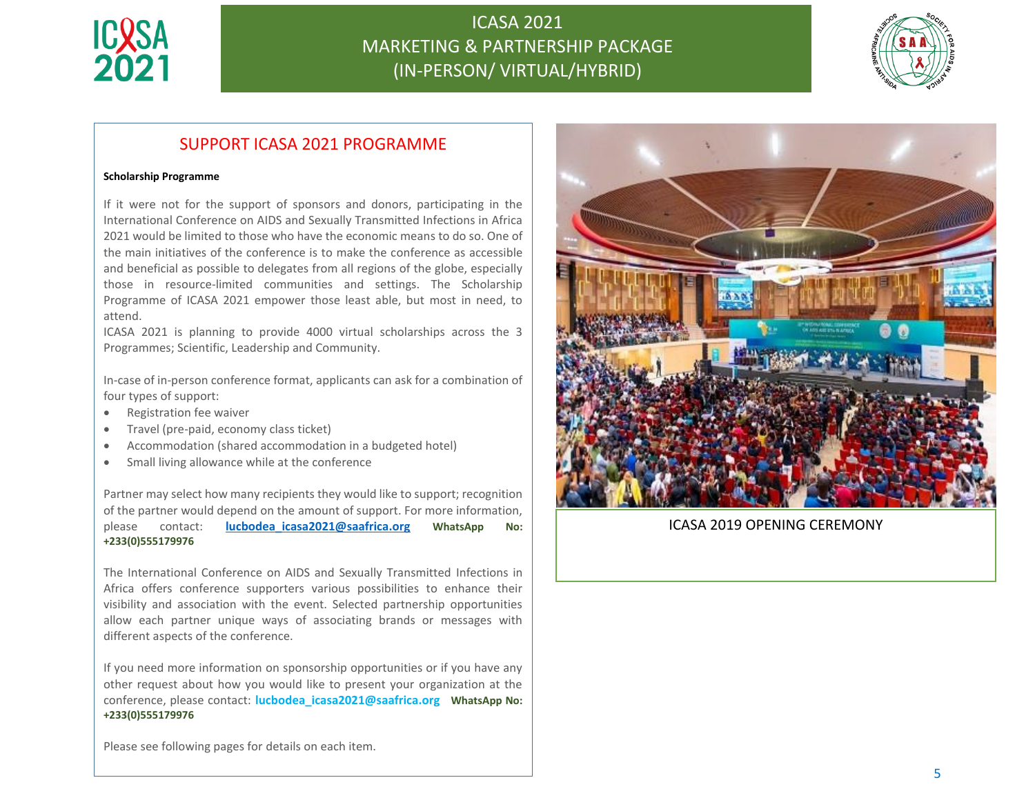



### SUPPORT ICASA 2021 PROGRAMME

#### **Scholarship Programme**

If it were not for the support of sponsors and donors, participating in the International Conference on AIDS and Sexually Transmitted Infections in Africa 2021 would be limited to those who have the economic means to do so. One of the main initiatives of the conference is to make the conference as accessible and beneficial as possible to delegates from all regions of the globe, especially those in resource-limited communities and settings. The Scholarship Programme of ICASA 2021 empower those least able, but most in need, to attend.

ICASA 2021 is planning to provide 4000 virtual scholarships across the 3 Programmes; Scientific, Leadership and Community.

In-case of in-person conference format, applicants can ask for a combination of four types of support:

- Registration fee waiver
- Travel (pre-paid, economy class ticket)
- Accommodation (shared accommodation in a budgeted hotel)
- Small living allowance while at the conference

Partner may select how many recipients they would like to support; recognition of the partner would depend on the amount of support. For more information, please contact: **[lucbodea\\_icasa2021@saafrica.org](mailto:lucbodea_icasa2021@saafrica.org) WhatsApp No: +233(0)555179976**

The International Conference on AIDS and Sexually Transmitted Infections in Africa offers conference supporters various possibilities to enhance their visibility and association with the event. Selected partnership opportunities allow each partner unique ways of associating brands or messages with different aspects of the conference.

If you need more information on sponsorship opportunities or if you have any other request about how you would like to present your organization at the conference, please contact: **lucbodea\_icasa2021@saafrica.org WhatsApp No: +233(0)555179976**



#### ICASA 2019 OPENING CEREMONY

Please see following pages for details on each item.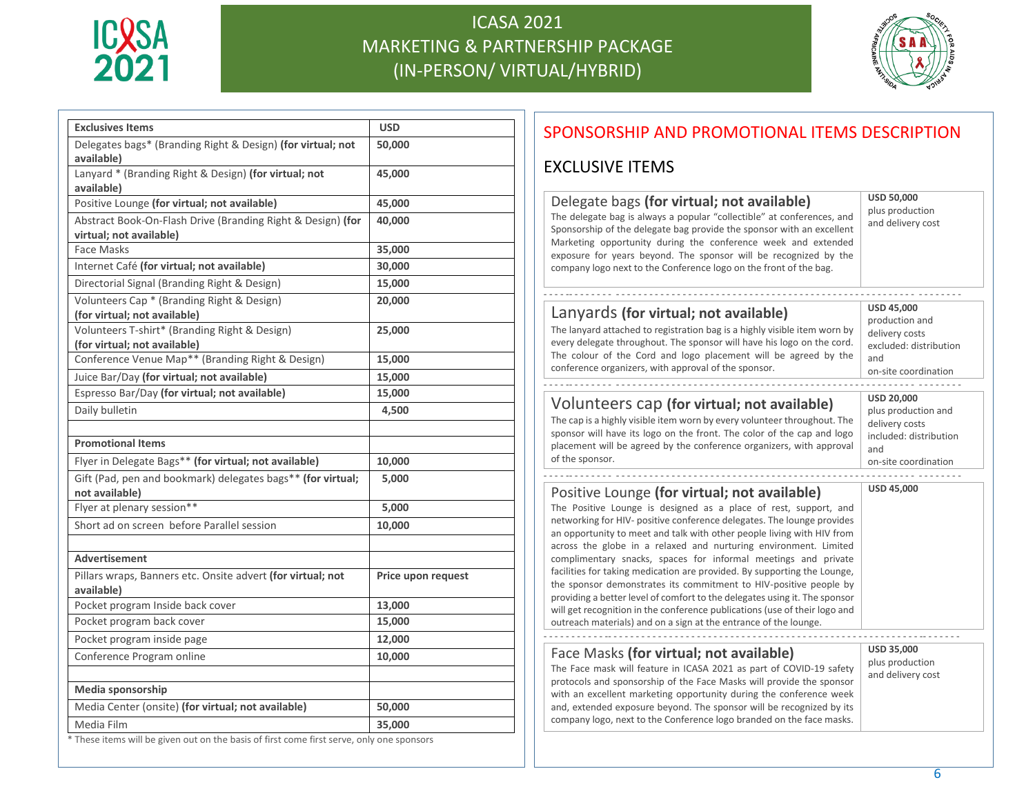



| <b>Exclusives Items</b>                                                                 | <b>USD</b>         |
|-----------------------------------------------------------------------------------------|--------------------|
| Delegates bags* (Branding Right & Design) (for virtual; not<br>available)               | 50,000             |
| Lanyard * (Branding Right & Design) (for virtual; not<br>available)                     | 45,000             |
| Positive Lounge (for virtual; not available)                                            | 45,000             |
| Abstract Book-On-Flash Drive (Branding Right & Design) (for<br>virtual; not available)  | 40,000             |
| Face Masks                                                                              | 35,000             |
| Internet Café (for virtual; not available)                                              | 30,000             |
| Directorial Signal (Branding Right & Design)                                            | 15,000             |
| Volunteers Cap * (Branding Right & Design)<br>(for virtual; not available)              | 20,000             |
| Volunteers T-shirt* (Branding Right & Design)<br>(for virtual; not available)           | 25,000             |
| Conference Venue Map** (Branding Right & Design)                                        | 15,000             |
| Juice Bar/Day (for virtual; not available)                                              | 15,000             |
| Espresso Bar/Day (for virtual; not available)                                           | 15,000             |
| Daily bulletin                                                                          | 4,500              |
| <b>Promotional Items</b>                                                                |                    |
| Flyer in Delegate Bags** (for virtual; not available)                                   | 10,000             |
| Gift (Pad, pen and bookmark) delegates bags** (for virtual;<br>not available)           | 5,000              |
| Flyer at plenary session**                                                              | 5,000              |
| Short ad on screen before Parallel session                                              | 10,000             |
| <b>Advertisement</b>                                                                    |                    |
| Pillars wraps, Banners etc. Onsite advert (for virtual; not<br>available)               | Price upon request |
| Pocket program Inside back cover                                                        | 13,000             |
| Pocket program back cover                                                               | 15,000             |
| Pocket program inside page                                                              | 12,000             |
| Conference Program online                                                               | 10,000             |
| Media sponsorship                                                                       |                    |
| Media Center (onsite) (for virtual; not available)                                      | 50,000             |
| Media Film                                                                              | 35,000             |
| These items will be given out on the basis of first come first serve, only one sponsors |                    |

### SPONSORSHIP AND PROMOTIONAL ITEMS DESCRIPTION

### EXCLUSIVE ITEMS

# **USD 50,000**

The delegate bag is always a popular "collectible" at conferences, and Sponsorship of the delegate bag provide the sponsor with an excellent Marketing opportunity during the conference week and extended exposure for years beyond. The sponsor will be recognized by the company logo next to the Conference logo on the front of the bag.

- - - - -- - - - - - - - - - - - - - - - - - - - - - - - - - - - - - - - - - - - - - - - - - - - - - - - - - - - - - - - - - - - - - - - - - - - - -

plus production and delivery cost

#### Lanyards **(for virtual; not available)**

Delegate bags **(for virtual; not available)**

The lanyard attached to registration bag is a highly visible item worn by every delegate throughout. The sponsor will have his logo on the cord. The colour of the Cord and logo placement will be agreed by the conference organizers, with approval of the sponsor.

**USD 45,000** production and delivery costs excluded: distribution and on-site coordination

### Volunteers cap **(for virtual; not available)**

The cap is a highly visible item worn by every volunteer throughout. The sponsor will have its logo on the front. The color of the cap and logo placement will be agreed by the conference organizers, with approval of the sponsor.

on-site coordination **USD 45,000**

**USD 20,000** plus production and delivery costs included: distribution

and

### Positive Lounge **(for virtual; not available)**

The Positive Lounge is designed as a place of rest, support, and networking for HIV- positive conference delegates. The lounge provides an opportunity to meet and talk with other people living with HIV from across the globe in a relaxed and nurturing environment. Limited complimentary snacks, spaces for informal meetings and private facilities for taking medication are provided. By supporting the Lounge, the sponsor demonstrates its commitment to HIV-positive people by providing a better level of comfort to the delegates using it. The sponsor will get recognition in the conference publications (use of their logo and outreach materials) and on a sign at the entrance of the lounge.

#### Face Masks **(for virtual; not available)**

The Face mask will feature in ICASA 2021 as part of COVID-19 safety protocols and sponsorship of the Face Masks will provide the sponsor with an excellent marketing opportunity during the conference week and, extended exposure beyond. The sponsor will be recognized by its company logo, next to the Conference logo branded on the face masks.

- - - - - - - - - - - -- - - - - - - - - - - - - - - - - - - - - - - - - - - - - - - - - - - - - - - - - - - - - - - - - - - - - - - - -- - - - - - -

**USD 35,000** plus production and delivery cost

 $\mathcal{F}_{\mathcal{F}}$  few sponsors will have this opportunity on the basis of first server server server server server server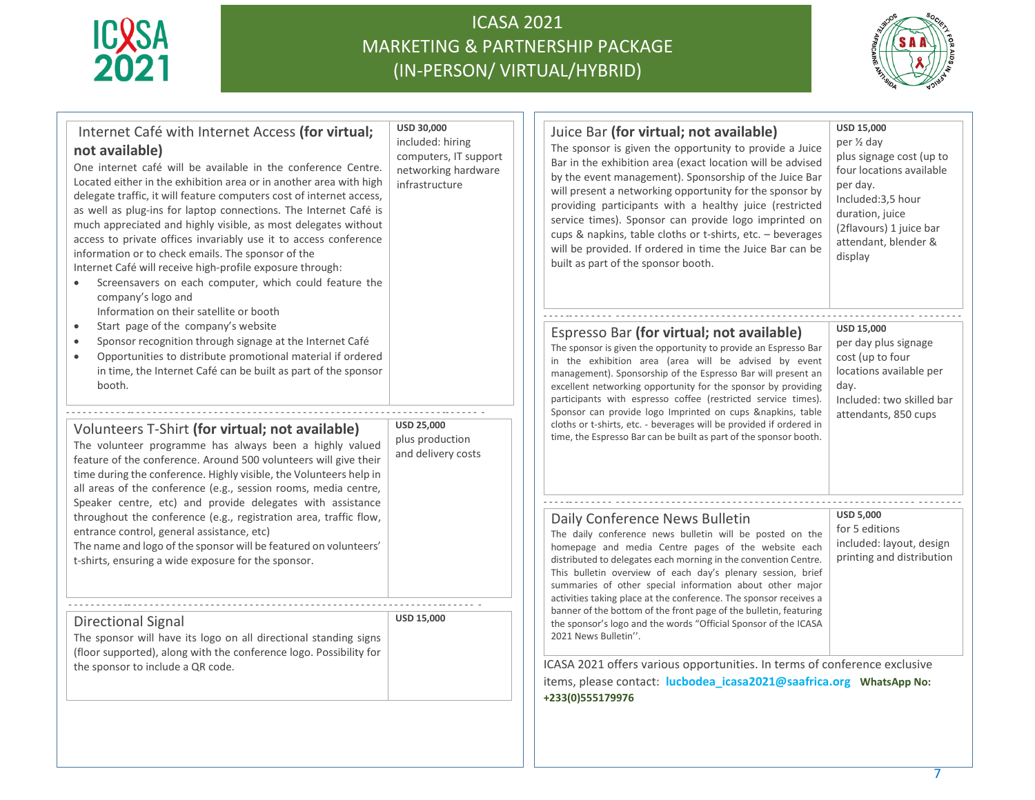



| Internet Café with Internet Access (for virtual;<br>not available)<br>One internet café will be available in the conference Centre.<br>Located either in the exhibition area or in another area with high<br>delegate traffic, it will feature computers cost of internet access,<br>as well as plug-ins for laptop connections. The Internet Café is<br>much appreciated and highly visible, as most delegates without<br>access to private offices invariably use it to access conference<br>information or to check emails. The sponsor of the<br>Internet Café will receive high-profile exposure through:<br>Screensavers on each computer, which could feature the<br>company's logo and | USD 30,000<br>included: hiring<br>computers, IT support<br>networking hardware<br>infrastructure | <b>USD 15,000</b><br>Juice Bar (for virtual; not available)<br>per 1/2 day<br>The sponsor is given the opportunity to provide a Juice<br>plus signage cost (up to<br>Bar in the exhibition area (exact location will be advised<br>four locations available<br>by the event management). Sponsorship of the Juice Bar<br>per day.<br>will present a networking opportunity for the sponsor by<br>Included:3,5 hour<br>providing participants with a healthy juice (restricted<br>duration, juice<br>service times). Sponsor can provide logo imprinted on<br>(2flavours) 1 juice bar<br>cups & napkins, table cloths or t-shirts, etc. - beverages<br>attendant, blender &<br>will be provided. If ordered in time the Juice Bar can be<br>display<br>built as part of the sponsor booth. |
|------------------------------------------------------------------------------------------------------------------------------------------------------------------------------------------------------------------------------------------------------------------------------------------------------------------------------------------------------------------------------------------------------------------------------------------------------------------------------------------------------------------------------------------------------------------------------------------------------------------------------------------------------------------------------------------------|--------------------------------------------------------------------------------------------------|-------------------------------------------------------------------------------------------------------------------------------------------------------------------------------------------------------------------------------------------------------------------------------------------------------------------------------------------------------------------------------------------------------------------------------------------------------------------------------------------------------------------------------------------------------------------------------------------------------------------------------------------------------------------------------------------------------------------------------------------------------------------------------------------|
| Information on their satellite or booth<br>Start page of the company's website<br>$\bullet$<br>Sponsor recognition through signage at the Internet Café<br>$\bullet$<br>Opportunities to distribute promotional material if ordered<br>in time, the Internet Café can be built as part of the sponsor<br>booth.                                                                                                                                                                                                                                                                                                                                                                                |                                                                                                  | <b>USD 15.000</b><br>Espresso Bar (for virtual; not available)<br>per day plus signage<br>The sponsor is given the opportunity to provide an Espresso Bar<br>cost (up to four<br>in the exhibition area (area will be advised by event<br>locations available per<br>management). Sponsorship of the Espresso Bar will present an<br>excellent networking opportunity for the sponsor by providing<br>day.<br>participants with espresso coffee (restricted service times).<br>Included: two skilled bar<br>Sponsor can provide logo Imprinted on cups &napkins, table<br>attendants, 850 cups                                                                                                                                                                                            |
| Volunteers T-Shirt (for virtual; not available)<br>The volunteer programme has always been a highly valued<br>feature of the conference. Around 500 volunteers will give their<br>time during the conference. Highly visible, the Volunteers help in<br>all areas of the conference (e.g., session rooms, media centre,<br>Speaker centre, etc) and provide delegates with assistance                                                                                                                                                                                                                                                                                                          | <b>USD 25,000</b><br>plus production<br>and delivery costs                                       | cloths or t-shirts, etc. - beverages will be provided if ordered in<br>time, the Espresso Bar can be built as part of the sponsor booth.                                                                                                                                                                                                                                                                                                                                                                                                                                                                                                                                                                                                                                                  |
| throughout the conference (e.g., registration area, traffic flow,<br>entrance control, general assistance, etc)<br>The name and logo of the sponsor will be featured on volunteers'<br>t-shirts, ensuring a wide exposure for the sponsor.                                                                                                                                                                                                                                                                                                                                                                                                                                                     |                                                                                                  | <b>USD 5,000</b><br>Daily Conference News Bulletin<br>for 5 editions<br>The daily conference news bulletin will be posted on the<br>included: layout, design<br>homepage and media Centre pages of the website each<br>printing and distribution<br>distributed to delegates each morning in the convention Centre.<br>This bulletin overview of each day's plenary session, brief<br>summaries of other special information about other major<br>activities taking place at the conference. The sponsor receives a                                                                                                                                                                                                                                                                       |
| Directional Signal<br>The sponsor will have its logo on all directional standing signs<br>(floor supported), along with the conference logo. Possibility for<br>the sponsor to include a QR code.                                                                                                                                                                                                                                                                                                                                                                                                                                                                                              | <b>USD 15,000</b>                                                                                | banner of the bottom of the front page of the bulletin, featuring<br>the sponsor's logo and the words "Official Sponsor of the ICASA<br>2021 News Bulletin".<br>ICASA 2021 offers various opportunities. In terms of conference exclusive<br>items, please contact: lucbodea_icasa2021@saafrica.org    WhatsApp No:<br>+233(0)555179976                                                                                                                                                                                                                                                                                                                                                                                                                                                   |
|                                                                                                                                                                                                                                                                                                                                                                                                                                                                                                                                                                                                                                                                                                |                                                                                                  |                                                                                                                                                                                                                                                                                                                                                                                                                                                                                                                                                                                                                                                                                                                                                                                           |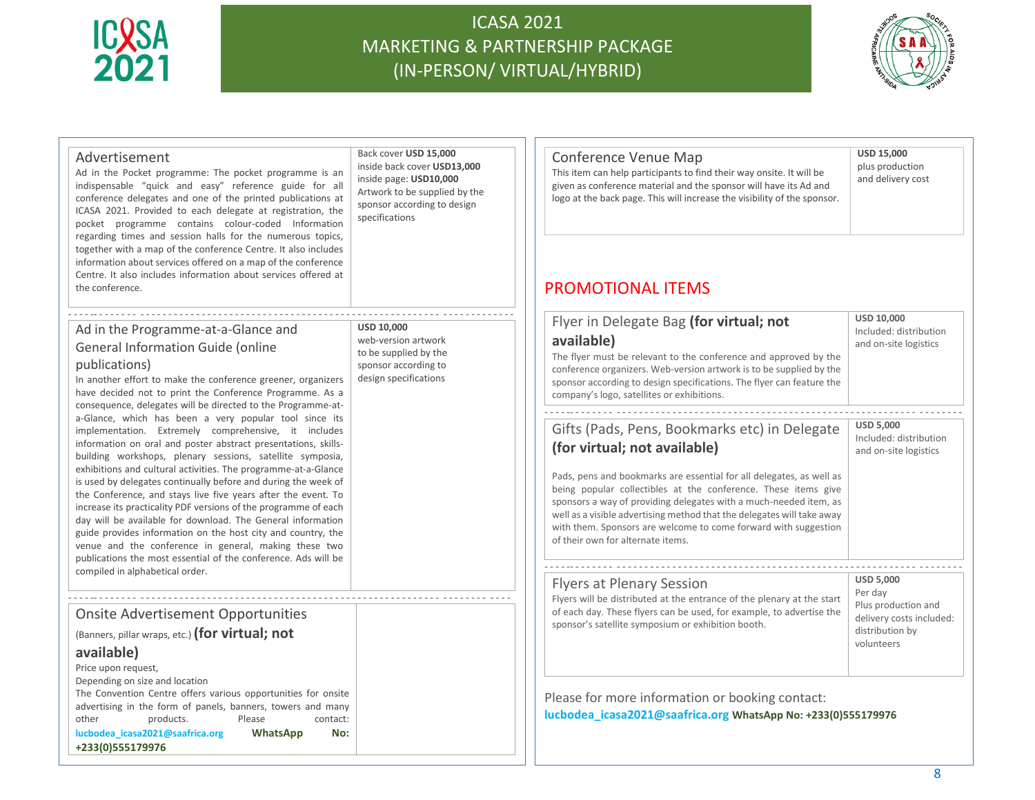



| Advertisement<br>Ad in the Pocket programme: The pocket programme is an<br>indispensable "quick and easy" reference guide for all<br>conference delegates and one of the printed publications at<br>ICASA 2021. Provided to each delegate at registration, the<br>pocket programme contains colour-coded Information<br>regarding times and session halls for the numerous topics,<br>together with a map of the conference Centre. It also includes<br>information about services offered on a map of the conference<br>Centre. It also includes information about services offered at<br>the conference.                                                                                                                                                                                                                                                                                                                                                                                                    | Back cover USD 15,000<br>inside back cover USD13,000<br>inside page: USD10,000<br>Artwork to be supplied by the<br>sponsor according to design<br>specifications | Conference Venue Map<br>This item can help participants to find their way onsite. It will be<br>given as conference material and the sponsor will have its Ad and<br>logo at the back page. This will increase the visibility of the sponsor.<br><b>PROMOTIONAL ITEMS</b>                                                                                                                                                                                                                                                                                                                                                                                                                                                                                                                                 | <b>USD 15,000</b><br>plus production<br>and delivery cost                                                                                   |
|---------------------------------------------------------------------------------------------------------------------------------------------------------------------------------------------------------------------------------------------------------------------------------------------------------------------------------------------------------------------------------------------------------------------------------------------------------------------------------------------------------------------------------------------------------------------------------------------------------------------------------------------------------------------------------------------------------------------------------------------------------------------------------------------------------------------------------------------------------------------------------------------------------------------------------------------------------------------------------------------------------------|------------------------------------------------------------------------------------------------------------------------------------------------------------------|-----------------------------------------------------------------------------------------------------------------------------------------------------------------------------------------------------------------------------------------------------------------------------------------------------------------------------------------------------------------------------------------------------------------------------------------------------------------------------------------------------------------------------------------------------------------------------------------------------------------------------------------------------------------------------------------------------------------------------------------------------------------------------------------------------------|---------------------------------------------------------------------------------------------------------------------------------------------|
| Ad in the Programme-at-a-Glance and<br><b>General Information Guide (online</b><br>publications)<br>In another effort to make the conference greener, organizers<br>have decided not to print the Conference Programme. As a<br>consequence, delegates will be directed to the Programme-at-<br>a-Glance, which has been a very popular tool since its<br>implementation. Extremely comprehensive, it includes<br>information on oral and poster abstract presentations, skills-<br>building workshops, plenary sessions, satellite symposia,<br>exhibitions and cultural activities. The programme-at-a-Glance<br>is used by delegates continually before and during the week of<br>the Conference, and stays live five years after the event. To<br>increase its practicality PDF versions of the programme of each<br>day will be available for download. The General information<br>guide provides information on the host city and country, the<br>venue and the conference in general, making these two | <b>USD 10.000</b><br>web-version artwork<br>to be supplied by the<br>sponsor according to<br>design specifications                                               | Flyer in Delegate Bag (for virtual; not<br>available)<br>The flyer must be relevant to the conference and approved by the<br>conference organizers. Web-version artwork is to be supplied by the<br>sponsor according to design specifications. The flyer can feature the<br>company's logo, satellites or exhibitions.<br>Gifts (Pads, Pens, Bookmarks etc) in Delegate<br>(for virtual; not available)<br>Pads, pens and bookmarks are essential for all delegates, as well as<br>being popular collectibles at the conference. These items give<br>sponsors a way of providing delegates with a much-needed item, as<br>well as a visible advertising method that the delegates will take away<br>with them. Sponsors are welcome to come forward with suggestion<br>of their own for alternate items. | <b>USD 10,000</b><br>Included: distribution<br>and on-site logistics<br><b>USD 5,000</b><br>Included: distribution<br>and on-site logistics |
| publications the most essential of the conference. Ads will be<br>compiled in alphabetical order.                                                                                                                                                                                                                                                                                                                                                                                                                                                                                                                                                                                                                                                                                                                                                                                                                                                                                                             |                                                                                                                                                                  | <b>Flyers at Plenary Session</b><br>Flyers will be distributed at the entrance of the plenary at the start                                                                                                                                                                                                                                                                                                                                                                                                                                                                                                                                                                                                                                                                                                | <b>USD 5,000</b><br>Per day                                                                                                                 |
| <b>Onsite Advertisement Opportunities</b><br>(Banners, pillar wraps, etc.) (for virtual; not<br>available)<br>Price upon request,                                                                                                                                                                                                                                                                                                                                                                                                                                                                                                                                                                                                                                                                                                                                                                                                                                                                             |                                                                                                                                                                  | of each day. These flyers can be used, for example, to advertise the<br>sponsor's satellite symposium or exhibition booth.                                                                                                                                                                                                                                                                                                                                                                                                                                                                                                                                                                                                                                                                                | Plus production and<br>delivery costs included:<br>distribution by<br>volunteers                                                            |
| Depending on size and location<br>The Convention Centre offers various opportunities for onsite<br>advertising in the form of panels, banners, towers and many<br>other<br>products.<br>Please<br>contact:<br>lucbodea icasa2021@saafrica.org<br>WhatsApp<br>No:<br>+233(0)555179976                                                                                                                                                                                                                                                                                                                                                                                                                                                                                                                                                                                                                                                                                                                          |                                                                                                                                                                  | Please for more information or booking contact:<br>lucbodea_icasa2021@saafrica.org WhatsApp No: +233(0)555179976                                                                                                                                                                                                                                                                                                                                                                                                                                                                                                                                                                                                                                                                                          |                                                                                                                                             |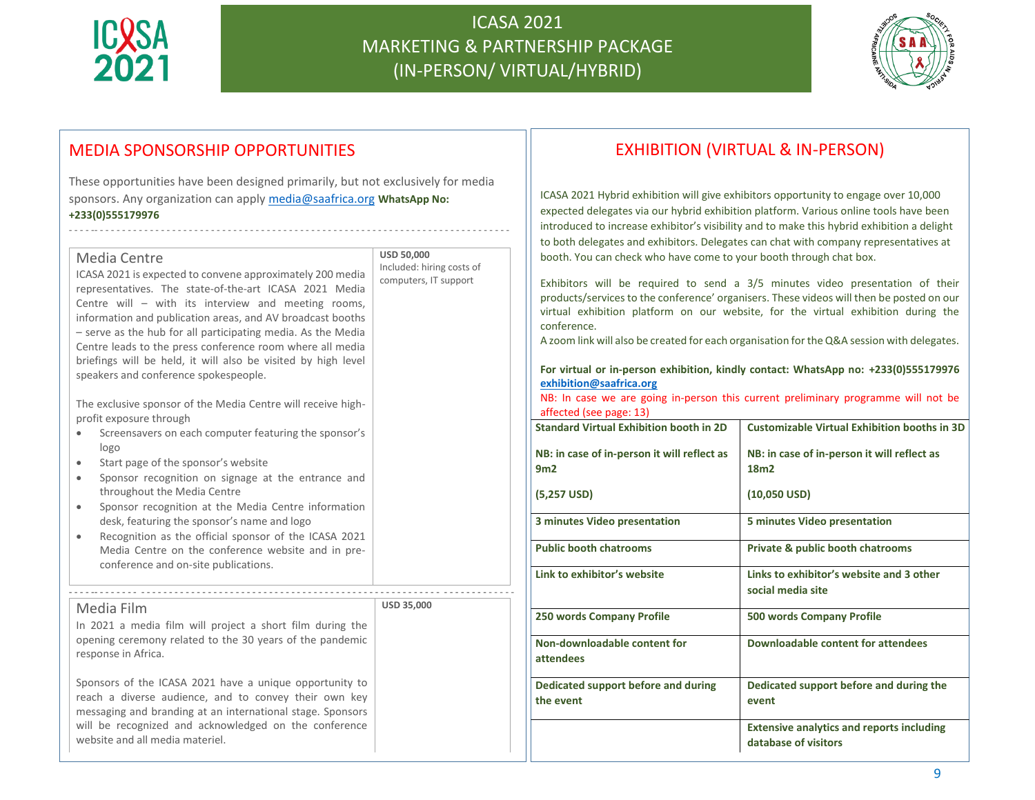

website and all media materiel.

# ICASA 2021 MARKETING & PARTNERSHIP PACKAGE (IN-PERSON/ VIRTUAL/HYBRID)



### MEDIA SPONSORSHIP OPPORTUNITIES

These opportunities have been designed primarily, but not exclusively for media sponsors. Any organization can apply [media@saafrica.org](mailto:media@saafrica.org) **WhatsApp No: +233(0)555179976**

- - - - -- - - - - - - - - - - - - - - - - - - - - - - - - - - - - - - - - - - - - - - - - - - - - - - - - - - - - - - - - - - - - - - - - - - - - - - - - - -

| Media Centre<br>ICASA 2021 is expected to convene approximately 200 media<br>representatives. The state-of-the-art ICASA 2021 Media<br>Centre will - with its interview and meeting rooms,<br>information and publication areas, and AV broadcast booths<br>- serve as the hub for all participating media. As the Media<br>Centre leads to the press conference room where all media<br>briefings will be held, it will also be visited by high level<br>speakers and conference spokespeople.                                                        | <b>USD 50,000</b><br>Included: hiring costs of<br>computers, IT support |
|--------------------------------------------------------------------------------------------------------------------------------------------------------------------------------------------------------------------------------------------------------------------------------------------------------------------------------------------------------------------------------------------------------------------------------------------------------------------------------------------------------------------------------------------------------|-------------------------------------------------------------------------|
| The exclusive sponsor of the Media Centre will receive high-<br>profit exposure through<br>Screensavers on each computer featuring the sponsor's<br>logo<br>Start page of the sponsor's website<br>Sponsor recognition on signage at the entrance and<br>۰<br>throughout the Media Centre<br>Sponsor recognition at the Media Centre information<br>desk, featuring the sponsor's name and logo<br>Recognition as the official sponsor of the ICASA 2021<br>Media Centre on the conference website and in pre-<br>conference and on-site publications. |                                                                         |
| Media Film<br>In 2021 a media film will project a short film during the<br>opening ceremony related to the 30 years of the pandemic<br>response in Africa.<br>Sponsors of the ICASA 2021 have a unique opportunity to<br>reach a diverse audience, and to convey their own key<br>messaging and branding at an international stage. Sponsors<br>will be recognized and acknowledged on the conference                                                                                                                                                  | USD 35,000                                                              |

### EXHIBITION (VIRTUAL & IN-PERSON)

ICASA 2021 Hybrid exhibition will give exhibitors opportunity to engage over 10,000 expected delegates via our hybrid exhibition platform. Various online tools have been introduced to increase exhibitor's visibility and to make this hybrid exhibition a delight to both delegates and exhibitors. Delegates can chat with company representatives at booth. You can check who have come to your booth through chat box.

Exhibitors will be required to send a 3/5 minutes video presentation of their products/services to the conference' organisers. These videos will then be posted on our virtual exhibition platform on our website, for the virtual exhibition during the conference.

A zoom link will also be created for each organisation for the Q&A session with delegates.

#### **For virtual or in-person exhibition, kindly contact: WhatsApp no: +233(0)555179976 [exhibition@saafrica.org](mailto:exhibition@saafrica.org)**

NB: In case we are going in-person this current preliminary programme will not be affected (see page: 13)

| <b>Standard Virtual Exhibition booth in 2D</b>     | <b>Customizable Virtual Exhibition booths in 3D</b>                      |
|----------------------------------------------------|--------------------------------------------------------------------------|
| NB: in case of in-person it will reflect as<br>9m2 | NB: in case of in-person it will reflect as<br>18m <sub>2</sub>          |
| $(5,257$ USD)                                      | $(10,050$ USD)                                                           |
| 3 minutes Video presentation                       | 5 minutes Video presentation                                             |
| <b>Public booth chatrooms</b>                      | Private & public booth chatrooms                                         |
| Link to exhibitor's website                        | Links to exhibitor's website and 3 other<br>social media site            |
| 250 words Company Profile                          | <b>500 words Company Profile</b>                                         |
| Non-downloadable content for<br>attendees          | Downloadable content for attendees                                       |
| Dedicated support before and during<br>the event   | Dedicated support before and during the<br>event                         |
|                                                    | <b>Extensive analytics and reports including</b><br>database of visitors |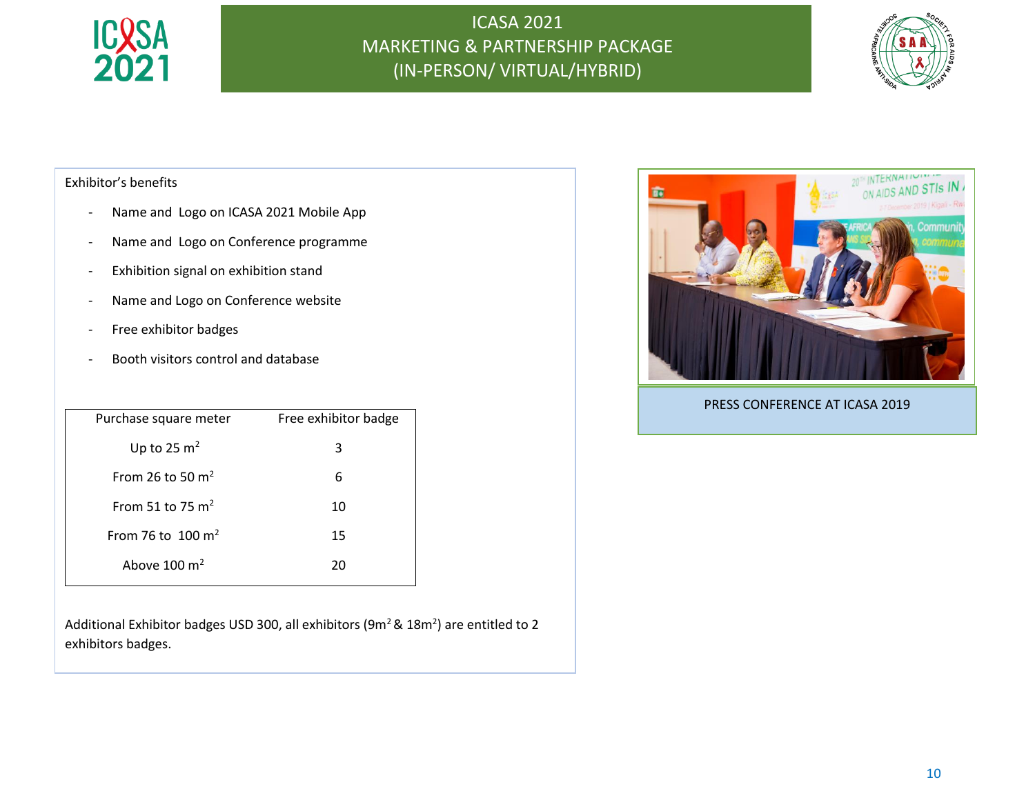



### Exhibitor's benefits

- Name and Logo on ICASA 2021 Mobile App
- Name and Logo on Conference programme
- Exhibition signal on exhibition stand
- Name and Logo on Conference website
- Free exhibitor badges
- Booth visitors control and database

| Purchase square meter   | Free exhibitor badge |
|-------------------------|----------------------|
| Up to 25 $m2$           | 3                    |
| From 26 to 50 $m2$      | 6                    |
| From 51 to 75 $m2$      | 10                   |
| From 76 to 100 $m2$     | 15                   |
| Ahove $100 \text{ m}^2$ | 20                   |
|                         |                      |

Additional Exhibitor badges USD 300, all exhibitors (9 $m^2$  & 18 $m^2$ ) are entitled to 2 exhibitors badges.



PRESS CONFERENCE AT ICASA 2019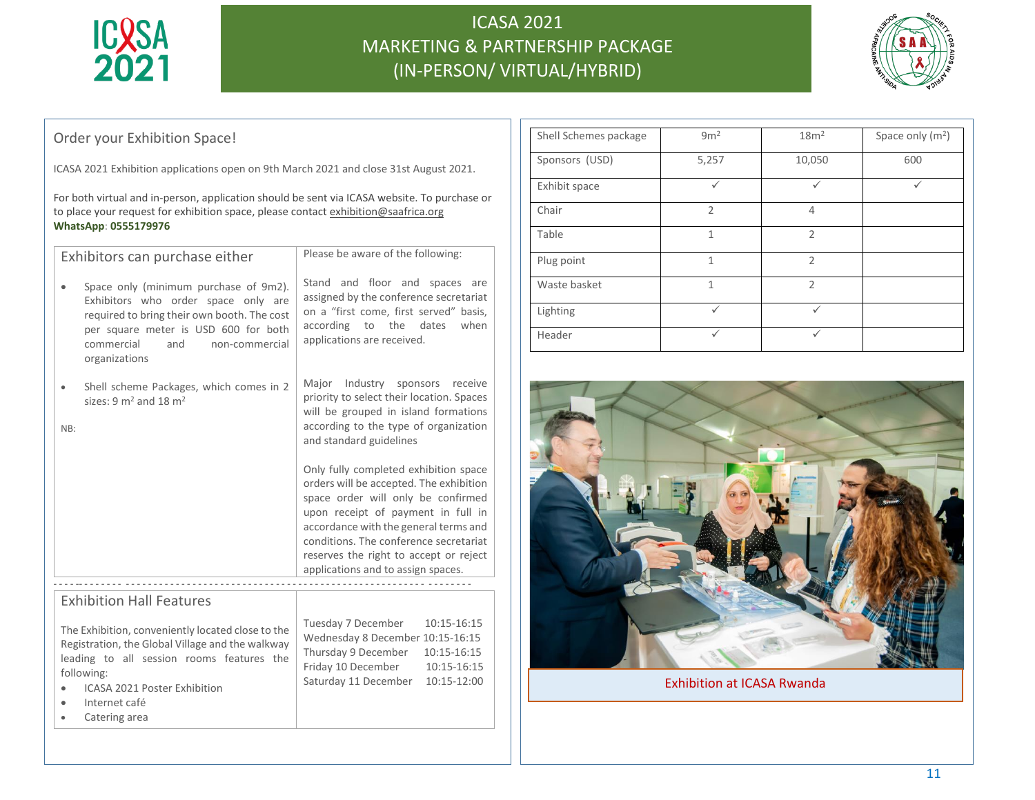



### Order your Exhibition Space!

ICASA 2021 Exhibition applications open on 9th March 2021 and close 31st August 2021.

For both virtual and in-person, application should be sent via ICASA website. To purchase or to place your request for exhibition space, please contact exhibition@saafrica.org **WhatsApp**: **0555179976**

| Exhibitors can purchase either                                                                                                                                                                                              | Please be aware of the following:                                                                                                                                                                                                                                                                                               |  |
|-----------------------------------------------------------------------------------------------------------------------------------------------------------------------------------------------------------------------------|---------------------------------------------------------------------------------------------------------------------------------------------------------------------------------------------------------------------------------------------------------------------------------------------------------------------------------|--|
| Space only (minimum purchase of 9m2).<br>Exhibitors who order space only are<br>required to bring their own booth. The cost<br>per square meter is USD 600 for both<br>commercial<br>and<br>non-commercial<br>organizations | Stand and floor and spaces are<br>assigned by the conference secretariat<br>on a "first come, first served" basis,<br>according<br>the<br>dates<br>when<br>to<br>applications are received.                                                                                                                                     |  |
| Shell scheme Packages, which comes in 2<br>sizes: $9 \text{ m}^2$ and $18 \text{ m}^2$<br>NB:                                                                                                                               | Major Industry sponsors receive<br>priority to select their location. Spaces<br>will be grouped in island formations<br>according to the type of organization<br>and standard guidelines                                                                                                                                        |  |
|                                                                                                                                                                                                                             | Only fully completed exhibition space<br>orders will be accepted. The exhibition<br>space order will only be confirmed<br>upon receipt of payment in full in<br>accordance with the general terms and<br>conditions. The conference secretariat<br>reserves the right to accept or reject<br>applications and to assign spaces. |  |
|                                                                                                                                                                                                                             |                                                                                                                                                                                                                                                                                                                                 |  |
| <b>Exhibition Hall Features</b>                                                                                                                                                                                             |                                                                                                                                                                                                                                                                                                                                 |  |
| The Exhibition, conveniently located close to the<br>Registration, the Global Village and the walkway<br>leading to all session rooms features the<br>following:                                                            | Tuesday 7 December<br>10:15-16:15<br>Wednesday 8 December 10:15-16:15<br>Thursday 9 December<br>10:15-16:15<br>Friday 10 December<br>10:15-16:15<br>Saturday 11 December<br>10:15-12:00                                                                                                                                         |  |

- ICASA 2021 Poster Exhibition
- Internet café
- Catering area

| Shell Schemes package | 9m <sup>2</sup> | 18 <sup>m²</sup> | Space only $(m2)$ |
|-----------------------|-----------------|------------------|-------------------|
| Sponsors (USD)        | 5,257           | 10,050           | 600               |
| Exhibit space         | ✓               | ✓                | $\checkmark$      |
| Chair                 | $\overline{2}$  | 4                |                   |
| Table                 | 1               | $\overline{2}$   |                   |
| Plug point            | 1               | $\mathfrak{D}$   |                   |
| Waste basket          | 1               | $\overline{2}$   |                   |
| Lighting              | ✓               | $\checkmark$     |                   |
| Header                | $\checkmark$    | ✓                |                   |



Exhibition at ICASA Rwanda

#### 11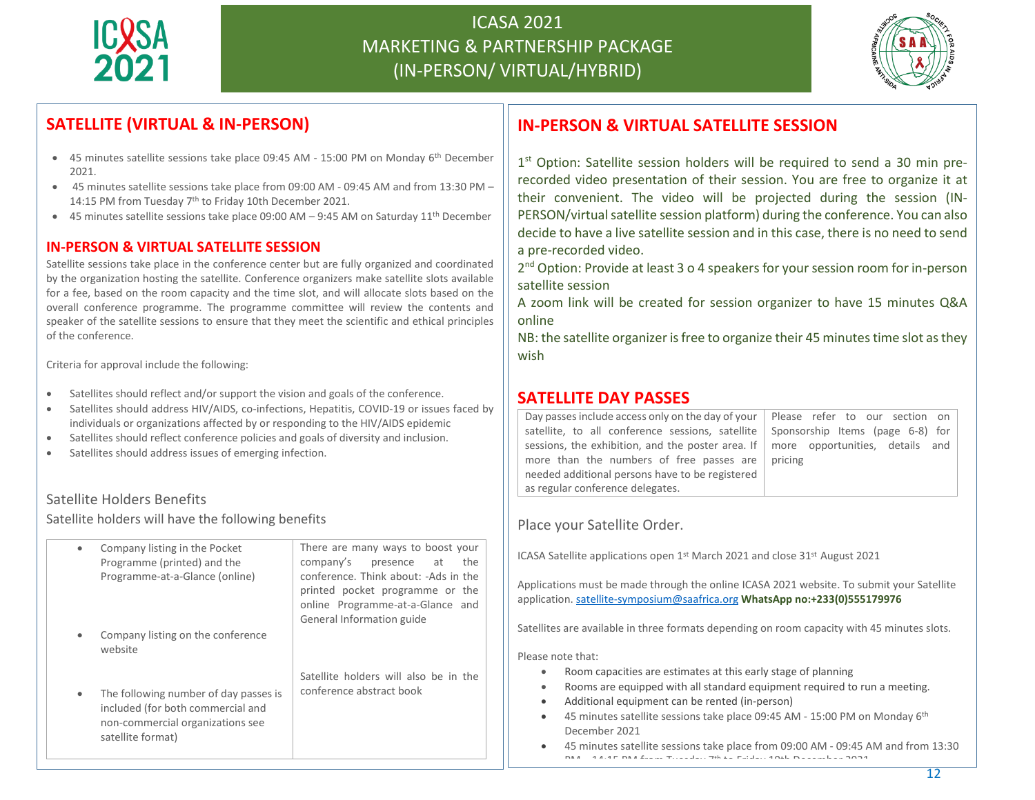



## **SATELLITE (VIRTUAL & IN-PERSON)**

- 45 minutes satellite sessions take place 09:45 AM 15:00 PM on Monday 6<sup>th</sup> December 2021.
- 45 minutes satellite sessions take place from 09:00 AM 09:45 AM and from 13:30 PM 14:15 PM from Tuesday 7<sup>th</sup> to Friday 10th December 2021.
- 45 minutes satellite sessions take place 09:00 AM 9:45 AM on Saturday 11th December

#### **IN-PERSON & VIRTUAL SATELLITE SESSION**

Satellite sessions take place in the conference center but are fully organized and coordinated by the organization hosting the satellite. Conference organizers make satellite slots available for a fee, based on the room capacity and the time slot, and will allocate slots based on the overall conference programme. The programme committee will review the contents and speaker of the satellite sessions to ensure that they meet the scientific and ethical principles of the conference.

Criteria for approval include the following:

- Satellites should reflect and/or support the vision and goals of the conference.
- Satellites should address HIV/AIDS, co-infections, Hepatitis, COVID-19 or issues faced by individuals or organizations affected by or responding to the HIV/AIDS epidemic
- Satellites should reflect conference policies and goals of diversity and inclusion.
- Satellites should address issues of emerging infection.

#### Satellite Holders Benefits

Satellite holders will have the following benefits

| $\bullet$ | Company listing in the Pocket<br>Programme (printed) and the<br>Programme-at-a-Glance (online)                                      | There are many ways to boost your<br>company's<br>presence at<br>the<br>conference. Think about: -Ads in the<br>printed pocket programme or the<br>online Programme-at-a-Glance and<br>General Information guide |
|-----------|-------------------------------------------------------------------------------------------------------------------------------------|------------------------------------------------------------------------------------------------------------------------------------------------------------------------------------------------------------------|
|           | Company listing on the conference<br>website                                                                                        |                                                                                                                                                                                                                  |
|           | The following number of day passes is<br>included (for both commercial and<br>non-commercial organizations see<br>satellite format) | Satellite holders will also be in the<br>conference abstract book                                                                                                                                                |

## **IN-PERSON & VIRTUAL SATELLITE SESSION**

1<sup>st</sup> Option: Satellite session holders will be required to send a 30 min prerecorded video presentation of their session. You are free to organize it at their convenient. The video will be projected during the session (IN-PERSON/virtual satellite session platform) during the conference. You can also decide to have a live satellite session and in this case, there is no need to send a pre-recorded video.

2<sup>nd</sup> Option: Provide at least 3 o 4 speakers for your session room for in-person satellite session

A zoom link will be created for session organizer to have 15 minutes Q&A online

NB: the satellite organizer is free to organize their 45 minutes time slot as they wish

#### **SATELLITE DAY PASSES**

| Please refer to our section on                                                                |
|-----------------------------------------------------------------------------------------------|
| Sponsorship Items (page 6-8) for                                                              |
| sessions, the exhibition, and the poster area. If $\parallel$ more opportunities, details and |
| pricing                                                                                       |
|                                                                                               |
|                                                                                               |
|                                                                                               |

Place your Satellite Order.

ICASA Satellite applications open 1<sup>st</sup> March 2021 and close 31<sup>st</sup> August 2021

Applications must be made through the online ICASA 2021 website. To submit your Satellite application. [satellite-symposium@saafrica.org](mailto:satellite-symposium@saafrica.org) **WhatsApp no:+233(0)555179976**

Satellites are available in three formats depending on room capacity with 45 minutes slots.

Please note that:

- Room capacities are estimates at this early stage of planning
- Rooms are equipped with all standard equipment required to run a meeting.
- Additional equipment can be rented (in-person)
- 45 minutes satellite sessions take place 09:45 AM 15:00 PM on Monday 6th December 2021
- 45 minutes satellite sessions take place from 09:00 AM 09:45 AM and from 13:30  $P_{\text{max}}$  ,  $P_{\text{max}}$  ,  $P_{\text{max}}$ the  $\mathbf{r}$  to  $\mathbf{r}$  and  $\mathbf{r}$  and  $\mathbf{r}$  to  $\mathbf{r}$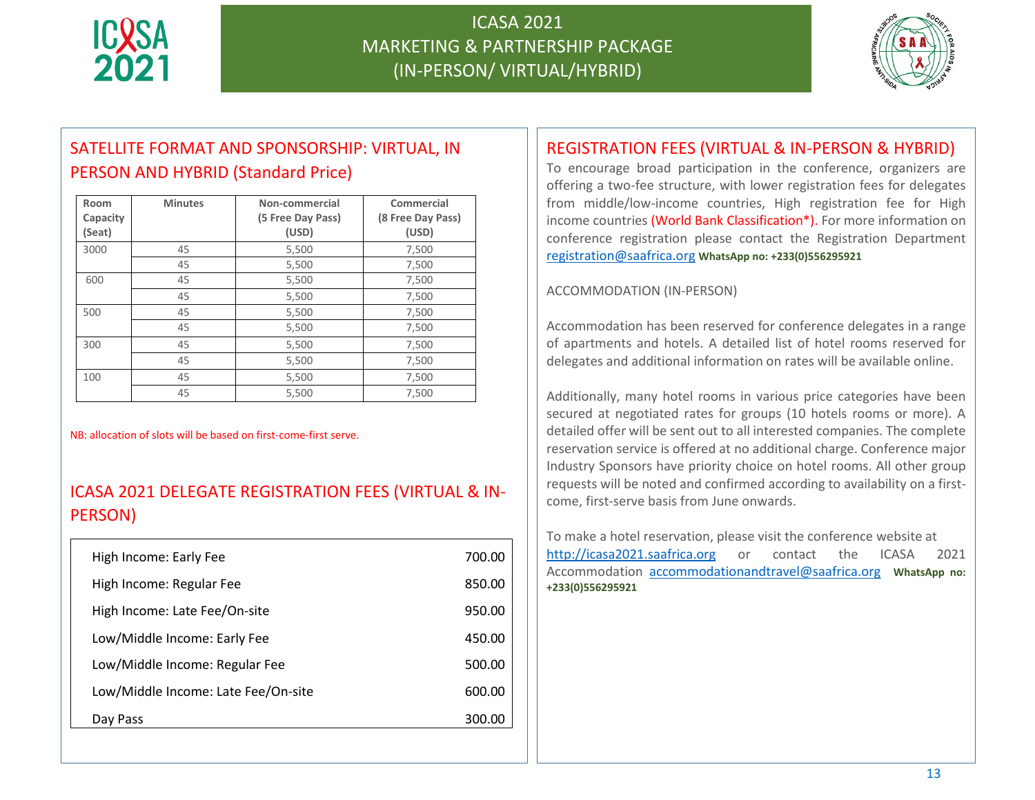



# SATELLITE FORMAT AND SPONSORSHIP: VIRTUAL, IN PERSON AND HYBRID (Standard Price)

| Room<br>Capacity<br>(Seat) | <b>Minutes</b> | Non-commercial<br>(5 Free Day Pass)<br>(USD) | Commercial<br>(8 Free Day Pass)<br>(USD) |
|----------------------------|----------------|----------------------------------------------|------------------------------------------|
| 3000                       | 45             | 5,500                                        | 7,500                                    |
|                            | 45             | 5,500                                        | 7,500                                    |
| 600                        | 45             | 5,500                                        | 7,500                                    |
|                            | 45             | 5,500                                        | 7,500                                    |
| 500                        | 45             | 5,500                                        | 7,500                                    |
|                            | 45             | 5,500                                        | 7,500                                    |
| 300                        | 45             | 5,500                                        | 7,500                                    |
|                            | 45             | 5,500                                        | 7,500                                    |
| 100                        | 45             | 5,500                                        | 7,500                                    |
|                            | 45             | 5,500                                        | 7,500                                    |

NB: allocation of slots will be based on first-come-first serve.

### ICASA 2021 DELEGATE REGISTRATION FEES (VIRTUAL & IN-PERSON)

| High Income: Early Fee              | 700.00 |
|-------------------------------------|--------|
| High Income: Regular Fee            | 850.00 |
| High Income: Late Fee/On-site       | 950.00 |
| Low/Middle Income: Early Fee        | 450.00 |
| Low/Middle Income: Regular Fee      | 500.00 |
| Low/Middle Income: Late Fee/On-site | 600.00 |
| Day Pass                            | 300.00 |

## REGISTRATION FEES (VIRTUAL & IN-PERSON & HYBRID)

To encourage broad participation in the conference, organizers are offering a two-fee structure, with lower registration fees for delegates from middle/low-income countries, High registration fee for High income countries (World Bank Classification\*). For more information on conference registration please contact the Registration Department [registration@saafrica.org](mailto:registration@saafrica.org) **WhatsApp no: +233(0)556295921**

#### ACCOMMODATION (IN-PERSON)

Accommodation has been reserved for conference delegates in a range of apartments and hotels. A detailed list of hotel rooms reserved for delegates and additional information on rates will be available online.

Additionally, many hotel rooms in various price categories have been secured at negotiated rates for groups (10 hotels rooms or more). A detailed offer will be sent out to all interested companies. The complete reservation service is offered at no additional charge. Conference major Industry Sponsors have priority choice on hotel rooms. All other group requests will be noted and confirmed according to availability on a firstcome, first-serve basis from June onwards.

To make a hotel reservation, please visit the conference website at http://icasa2021.saafrica.org or contact the ICASA 2021 Accommodation [accommodationandtravel@saafrica.org](mailto:accommodationandtravel@saafrica.org) **WhatsApp no: +233(0)556295921**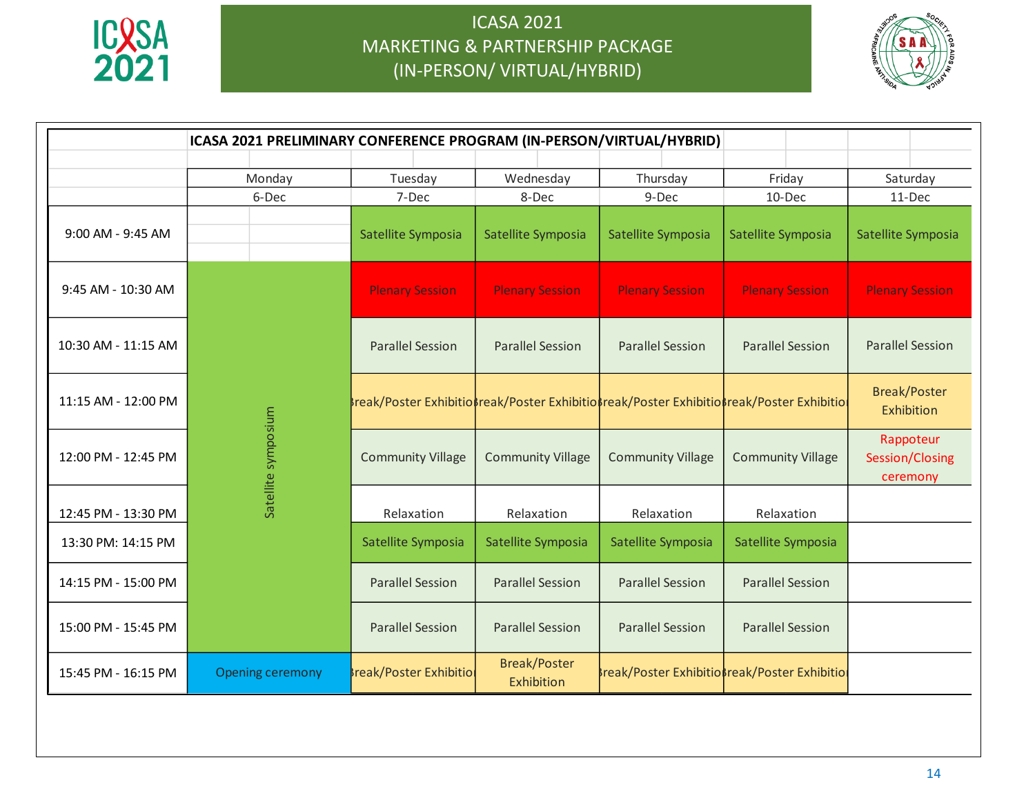



|                     |                         |                                                                                         |                                   | ICASA 2021 PRELIMINARY CONFERENCE PROGRAM (IN-PERSON/VIRTUAL/HYBRID) |                          |                                          |
|---------------------|-------------------------|-----------------------------------------------------------------------------------------|-----------------------------------|----------------------------------------------------------------------|--------------------------|------------------------------------------|
|                     | Monday                  | Tuesday                                                                                 | Wednesday                         | Thursday                                                             | Friday                   | Saturday                                 |
|                     | 6-Dec                   | 7-Dec                                                                                   | 8-Dec                             | 9-Dec                                                                | 10-Dec                   | 11-Dec                                   |
| 9:00 AM - 9:45 AM   |                         | Satellite Symposia                                                                      | Satellite Symposia                | Satellite Symposia                                                   | Satellite Symposia       | Satellite Symposia                       |
| 9:45 AM - 10:30 AM  |                         | <b>Plenary Session</b>                                                                  | <b>Plenary Session</b>            | <b>Plenary Session</b>                                               | <b>Plenary Session</b>   | <b>Plenary Session</b>                   |
| 10:30 AM - 11:15 AM |                         | <b>Parallel Session</b>                                                                 | <b>Parallel Session</b>           | <b>Parallel Session</b>                                              | <b>Parallel Session</b>  | <b>Parallel Session</b>                  |
| 11:15 AM - 12:00 PM |                         | reak/Poster Exhibitiorreak/Poster Exhibitiorreak/Poster Exhibitiorreak/Poster Exhibitio |                                   |                                                                      |                          | <b>Break/Poster</b><br>Exhibition        |
| 12:00 PM - 12:45 PM | Satellite symposium     | <b>Community Village</b>                                                                | <b>Community Village</b>          | <b>Community Village</b>                                             | <b>Community Village</b> | Rappoteur<br>Session/Closing<br>ceremony |
| 12:45 PM - 13:30 PM |                         | Relaxation                                                                              | Relaxation                        | Relaxation                                                           | Relaxation               |                                          |
| 13:30 PM: 14:15 PM  |                         | Satellite Symposia                                                                      | Satellite Symposia                | Satellite Symposia                                                   | Satellite Symposia       |                                          |
| 14:15 PM - 15:00 PM |                         | <b>Parallel Session</b>                                                                 | <b>Parallel Session</b>           | <b>Parallel Session</b>                                              | <b>Parallel Session</b>  |                                          |
| 15:00 PM - 15:45 PM |                         | <b>Parallel Session</b>                                                                 | <b>Parallel Session</b>           | <b>Parallel Session</b>                                              | <b>Parallel Session</b>  |                                          |
| 15:45 PM - 16:15 PM | <b>Opening ceremony</b> | <b>Ireak/Poster Exhibition</b>                                                          | <b>Break/Poster</b><br>Exhibition | <b>Break/Poster ExhibitioBreak/Poster Exhibitio</b>                  |                          |                                          |